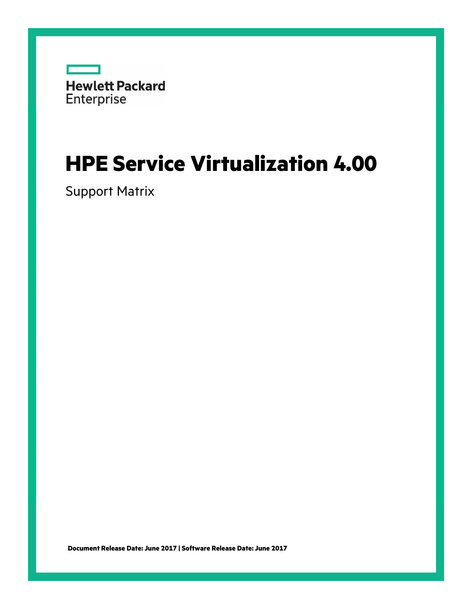

# **HPE Service Virtualization 4.00**

Support Matrix

**Document Release Date: June 2017 | Software Release Date: June 2017**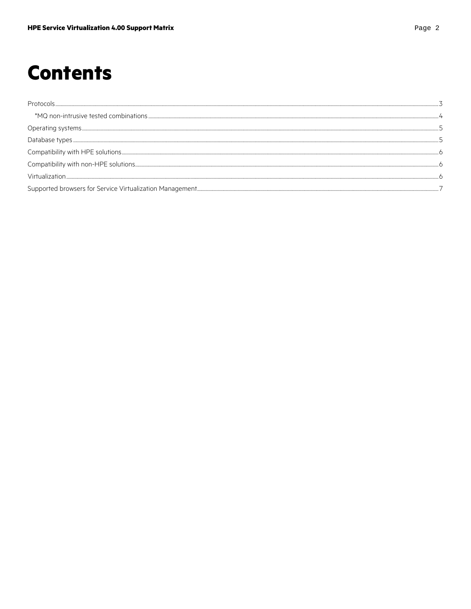# **Contents**

| $Comparibility with HPE solutions. {\it 2.11} and {\it 3.12} and {\it 4.13} are the same as follows.}$ |  |
|--------------------------------------------------------------------------------------------------------|--|
|                                                                                                        |  |
|                                                                                                        |  |
|                                                                                                        |  |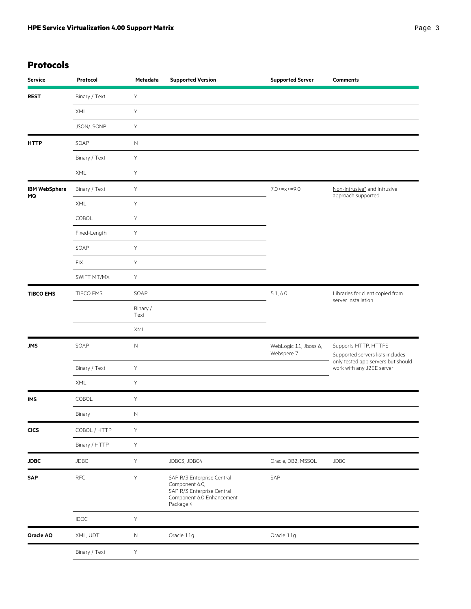# **Protocols**

| <b>Service</b>       | Protocol      | Metadata            | <b>Supported Version</b>                                                                                             | <b>Supported Server</b>             | <b>Comments</b>                                                 |
|----------------------|---------------|---------------------|----------------------------------------------------------------------------------------------------------------------|-------------------------------------|-----------------------------------------------------------------|
| <b>REST</b>          | Binary / Text | $\mathsf Y$         |                                                                                                                      |                                     |                                                                 |
|                      | XML           | Υ                   |                                                                                                                      |                                     |                                                                 |
|                      | JSON/JSONP    | Υ                   |                                                                                                                      |                                     |                                                                 |
| <b>HTTP</b>          | SOAP          | $\mathsf{N}\xspace$ |                                                                                                                      |                                     |                                                                 |
|                      | Binary / Text | Υ                   |                                                                                                                      |                                     |                                                                 |
|                      | XML           | Υ                   |                                                                                                                      |                                     |                                                                 |
| <b>IBM WebSphere</b> | Binary / Text | Υ                   |                                                                                                                      | 7.0 < x < 9.0                       | Non-Intrusive* and Intrusive                                    |
| MQ                   | XML           | Υ                   |                                                                                                                      |                                     | approach supported                                              |
|                      | COBOL         | Y                   |                                                                                                                      |                                     |                                                                 |
|                      | Fixed-Length  | Υ                   |                                                                                                                      |                                     |                                                                 |
|                      | SOAP          | Υ                   |                                                                                                                      |                                     |                                                                 |
|                      | <b>FIX</b>    | Υ                   |                                                                                                                      |                                     |                                                                 |
|                      | SWIFT MT/MX   | Υ                   |                                                                                                                      |                                     |                                                                 |
| <b>TIBCO EMS</b>     | TIBCO EMS     | SOAP                |                                                                                                                      | 5.1, 6.0                            | Libraries for client copied from<br>server installation         |
|                      |               | Binary /<br>Text    |                                                                                                                      |                                     |                                                                 |
|                      |               | XML                 |                                                                                                                      |                                     |                                                                 |
| <b>JMS</b>           | SOAP          | $\mathsf{N}$        |                                                                                                                      | WebLogic 11, Jboss 6,<br>Webspere 7 | Supports HTTP, HTTPS<br>Supported servers lists includes        |
|                      | Binary / Text | Y                   |                                                                                                                      |                                     | only tested app servers but should<br>work with any J2EE server |
|                      | XML           | Υ                   |                                                                                                                      |                                     |                                                                 |
| <b>IMS</b>           | COBOL         | Υ                   |                                                                                                                      |                                     |                                                                 |
|                      | Binary        | $\hbox{N}$          |                                                                                                                      |                                     |                                                                 |
| <b>CICS</b>          | COBOL / HTTP  | Υ                   |                                                                                                                      |                                     |                                                                 |
|                      | Binary / HTTP | Υ                   |                                                                                                                      |                                     |                                                                 |
| <b>JDBC</b>          | <b>JDBC</b>   | Υ                   | JDBC3, JDBC4                                                                                                         | Oracle, DB2, MSSQL                  | <b>JDBC</b>                                                     |
| SAP                  | RFC           | Y                   | SAP R/3 Enterprise Central<br>Component 6.0,<br>SAP R/3 Enterprise Central<br>Component 6.0 Enhancement<br>Package 4 | SAP                                 |                                                                 |
|                      | <b>IDOC</b>   | Y                   |                                                                                                                      |                                     |                                                                 |
| Oracle AQ            | XML, UDT      | $\mathsf N$         | Oracle 11g                                                                                                           | Oracle 11g                          |                                                                 |
|                      | Binary / Text | $\mathsf Y$         |                                                                                                                      |                                     |                                                                 |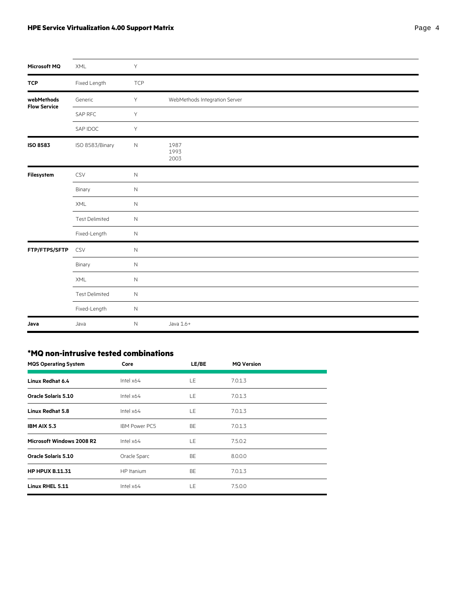#### <span id="page-3-0"></span>**HPE Service Virtualization 4.00 Support Matrix** *Page 1* **and** *Page 4*

| Microsoft MQ                      | XML                   | Υ            |                               |
|-----------------------------------|-----------------------|--------------|-------------------------------|
| <b>TCP</b>                        | Fixed Length          | TCP          |                               |
| webMethods<br><b>Flow Service</b> | Generic               | Y            | WebMethods Integration Server |
|                                   | SAP RFC               | Y            |                               |
|                                   | SAP IDOC              | Y            |                               |
| <b>ISO 8583</b>                   | ISO 8583/Binary       | $\hbox{N}$   | 1987<br>1993<br>2003          |
| Filesystem                        | CSV                   | $\hbox{N}$   |                               |
|                                   | Binary                | $\hbox{N}$   |                               |
|                                   | XML                   | $\mathsf N$  |                               |
|                                   | <b>Test Delimited</b> | $\mathsf N$  |                               |
|                                   | Fixed-Length          | $\mathsf N$  |                               |
| FTP/FTPS/SFTP                     | CSV                   | $\mathsf{N}$ |                               |
|                                   | Binary                | $\mathsf{N}$ |                               |
|                                   | XML                   | $\hbox{N}$   |                               |
|                                   | <b>Test Delimited</b> | $\mathsf N$  |                               |
|                                   | Fixed-Length          | $\hbox{N}$   |                               |
| Java                              | Java                  | N            | Java 1.6+                     |

#### **\*MQ non-intrusive tested combinations**

| <b>MQS Operating System</b> | Core                 | LE/BE | <b>MQ Version</b> |
|-----------------------------|----------------------|-------|-------------------|
| <b>Linux Redhat 6.4</b>     | Intel $x64$          | LE.   | 7.0.1.3           |
| <b>Oracle Solaris 5.10</b>  | Intel $x64$          | LE.   | 7.0.1.3           |
| <b>Linux Redhat 5.8</b>     | Intel $x64$          | LE.   | 7.0.1.3           |
| IBM AIX 5.3                 | <b>IBM Power PC5</b> | BE    | 7.0.1.3           |
| Microsoft Windows 2008 R2   | Intel $x64$          | LE    | 7.5.0.2           |
| <b>Oracle Solaris 5.10</b>  | Oracle Sparc         | BE    | 8.0.0.0           |
| <b>HP HPUX B.11.31</b>      | HP Itanium           | BE    | 7.0.1.3           |
| Linux RHEL 5.11             | Intel $x64$          | LE.   | 7.5.0.0           |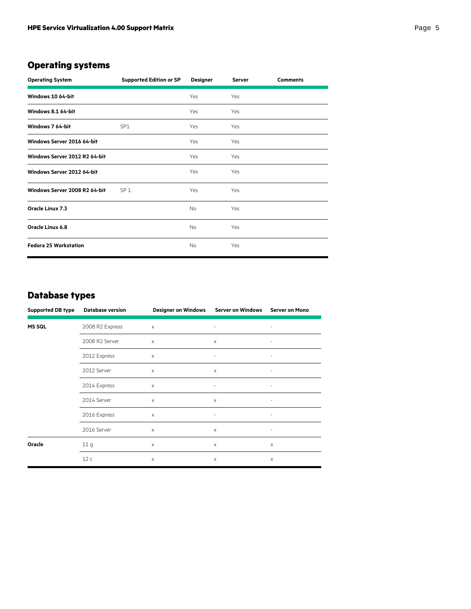# **Operating systems**

| <b>Operating System</b>       | <b>Supported Edition or SP</b> | <b>Designer</b> | <b>Server</b> | <b>Comments</b> |
|-------------------------------|--------------------------------|-----------------|---------------|-----------------|
| Windows 10 64-bit             |                                | Yes             | Yes           |                 |
| Windows 8.1 64-bit            |                                | Yes             | Yes           |                 |
| Windows 7 64-bit              | SP <sub>1</sub>                | Yes             | Yes           |                 |
| Windows Server 2016 64-bit    |                                | Yes             | Yes           |                 |
| Windows Server 2012 R2 64-bit |                                | Yes             | Yes           |                 |
| Windows Server 2012 64-bit    |                                | Yes             | Yes           |                 |
| Windows Server 2008 R2 64-bit | SP <sub>1</sub>                | Yes             | Yes           |                 |
| Oracle Linux 7.3              |                                | No.             | Yes           |                 |
| <b>Oracle Linux 6.8</b>       |                                | <b>No</b>       | Yes           |                 |
| <b>Fedora 25 Workstation</b>  |                                | No.             | Yes           |                 |

#### **Database types**

| <b>Supported DB type</b> | <b>Database version</b> | <b>Designer on Windows</b> | <b>Server on Windows</b> | <b>Server on Mono</b>     |
|--------------------------|-------------------------|----------------------------|--------------------------|---------------------------|
| <b>MS SQL</b>            | 2008 R2 Express         | X                          | $\qquad \qquad -$        |                           |
|                          | 2008 R2 Server          | $\times$                   | $\times$                 |                           |
|                          | 2012 Express            | X                          | $\qquad \qquad -$        | $\qquad \qquad -$         |
|                          | 2012 Server             | X                          | X                        | -                         |
|                          | 2014 Express            | X                          |                          |                           |
|                          | 2014 Server             | X                          | X                        |                           |
|                          | 2016 Express            | X                          | $\overline{\phantom{a}}$ | $\qquad \qquad -$         |
|                          | 2016 Server             | X                          | X                        | -                         |
| Oracle                   | 11 g                    | X                          | X                        | $\boldsymbol{\mathsf{X}}$ |
|                          | 12c                     | X                          | $\times$                 | $\times$                  |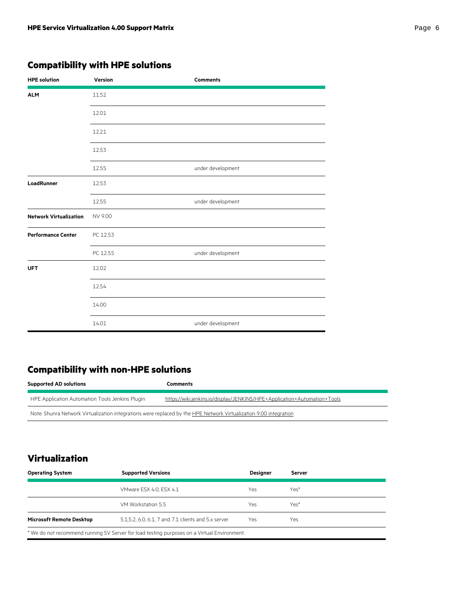# **Compatibility with HPE solutions**

| <b>HPE</b> solution           | Version  | <b>Comments</b>   |
|-------------------------------|----------|-------------------|
| <b>ALM</b>                    | 11.52    |                   |
|                               | 12.01    |                   |
|                               | 12.21    |                   |
|                               | 12.53    |                   |
|                               | 12.55    | under development |
| <b>LoadRunner</b>             | 12.53    |                   |
|                               | 12.55    | under development |
| <b>Network Virtualization</b> | NV 9.00  |                   |
| <b>Performance Center</b>     | PC 12.53 |                   |
|                               | PC 12.55 | under development |
| <b>UFT</b>                    | 12.02    |                   |
|                               | 12.54    |                   |
|                               | 14.00    |                   |
|                               | 14.01    | under development |

# **Compatibility with non-HPE solutions**

| <b>Supported AD solutions</b>                                                                                     | Comments                                                                 |  |
|-------------------------------------------------------------------------------------------------------------------|--------------------------------------------------------------------------|--|
| HPE Application Automation Tools Jenkins Plugin                                                                   | https://wiki.jenkins.io/display/JENKINS/HPE+Application+Automation+Tools |  |
| Note: Shunra Network Virtualization integrations were replaced by the HPE Network Virtualization 9.00 integration |                                                                          |  |

### **Virtualization**

| <b>Supported Versions</b><br><b>Operating System</b>                                        |                                                      | <b>Designer</b> | Server |
|---------------------------------------------------------------------------------------------|------------------------------------------------------|-----------------|--------|
|                                                                                             | VMware ESX 4.0. ESX 4.1                              | Yes.            | Yes*   |
|                                                                                             | VM Workstation 5.5                                   | Yes             | Yes*   |
| <b>Microsoft Remote Desktop</b>                                                             | 5.1, 5.2, 6.0, 6.1, 7 and 7.1 clients and 5.x server | Yes             | Yes    |
| * We do not recommend running SV Server for load testing purposes on a Virtual Environment. |                                                      |                 |        |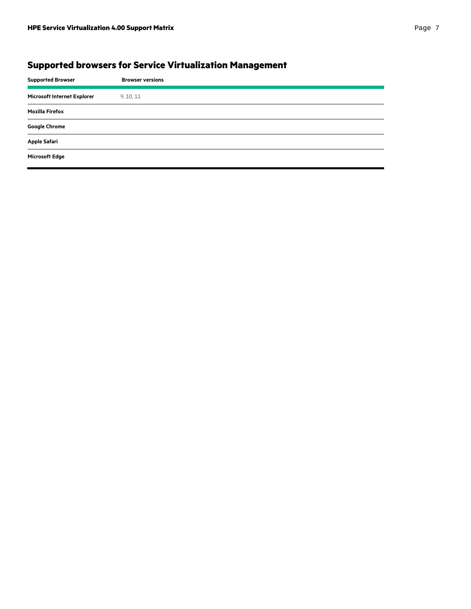# **Supported browsers for Service Virtualization Management**

| <b>Supported Browser</b>    | <b>Browser versions</b> |
|-----------------------------|-------------------------|
| Microsoft Internet Explorer | 9, 10, 11               |
| <b>Mozilla Firefox</b>      |                         |
| <b>Google Chrome</b>        |                         |
| <b>Apple Safari</b>         |                         |
| <b>Microsoft Edge</b>       |                         |